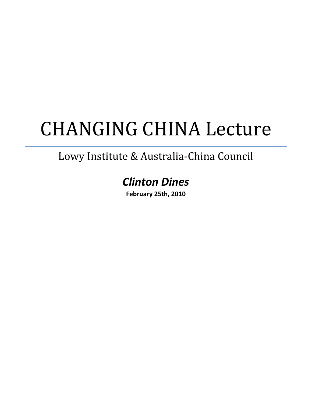## CHANGING CHINA Lecture

## Lowy Institute & Australia‐China Council

## *Clinton Dines*

**February 25th, 2010**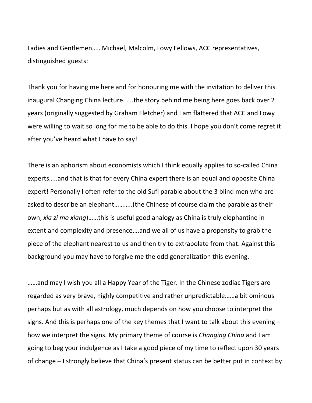Ladies and Gentlemen……Michael, Malcolm, Lowy Fellows, ACC representatives, distinguished guests:

Thank you for having me here and for honouring me with the invitation to deliver this inaugural Changing China lecture. ....the story behind me being here goes back over 2 years (originally suggested by Graham Fletcher) and I am flattered that ACC and Lowy were willing to wait so long for me to be able to do this. I hope you don't come regret it after you've heard what I have to say!

There is an aphorism about economists which I think equally applies to so-called China experts…..and that is that for every China expert there is an equal and opposite China expert! Personally I often refer to the old Sufi parable about the 3 blind men who are asked to describe an elephant………..(the Chinese of course claim the parable as their own, *xia zi mo xiang*)……this is useful good analogy as China is truly elephantine in extent and complexity and presence….and we all of us have a propensity to grab the piece of the elephant nearest to us and then try to extrapolate from that. Against this background you may have to forgive me the odd generalization this evening.

……and may I wish you all a Happy Year of the Tiger. In the Chinese zodiac Tigers are regarded as very brave, highly competitive and rather unpredictable……a bit ominous perhaps but as with all astrology, much depends on how you choose to interpret the signs. And this is perhaps one of the key themes that I want to talk about this evening – how we interpret the signs. My primary theme of course is *Changing China* and I am going to beg your indulgence as I take a good piece of my time to reflect upon 30 years of change – I strongly believe that China's present status can be better put in context by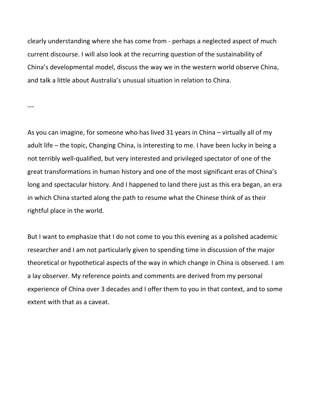clearly understanding where she has come from ‐ perhaps a neglected aspect of much current discourse. I will also look at the recurring question of the sustainability of China's developmental model, discuss the way we in the western world observe China, and talk a little about Australia's unusual situation in relation to China.

‐‐‐

As you can imagine, for someone who has lived 31 years in China – virtually all of my adult life – the topic, Changing China, is interesting to me. I have been lucky in being a not terribly well‐qualified, but very interested and privileged spectator of one of the great transformations in human history and one of the most significant eras of China's long and spectacular history. And I happened to land there just as this era began, an era in which China started along the path to resume what the Chinese think of as their rightful place in the world.

But I want to emphasize that I do not come to you this evening as a polished academic researcher and I am not particularly given to spending time in discussion of the major theoretical or hypothetical aspects of the way in which change in China is observed. I am a lay observer. My reference points and comments are derived from my personal experience of China over 3 decades and I offer them to you in that context, and to some extent with that as a caveat.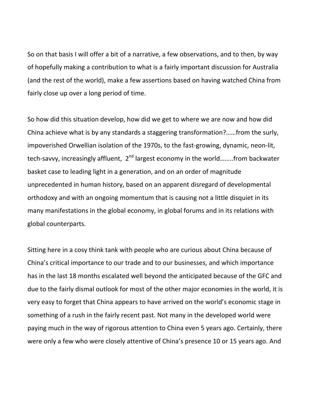So on that basis I will offer a bit of a narrative, a few observations, and to then, by way of hopefully making a contribution to what is a fairly important discussion for Australia (and the rest of the world), make a few assertions based on having watched China from fairly close up over a long period of time.

So how did this situation develop, how did we get to where we are now and how did China achieve what is by any standards a staggering transformation?……from the surly, impoverished Orwellian isolation of the 1970s, to the fast‐growing, dynamic, neon‐lit, tech-savvy, increasingly affluent, 2<sup>nd</sup> largest economy in the world........from backwater basket case to leading light in a generation, and on an order of magnitude unprecedented in human history, based on an apparent disregard of developmental orthodoxy and with an ongoing momentum that is causing not a little disquiet in its many manifestations in the global economy, in global forums and in its relations with global counterparts.

Sitting here in a cosy think tank with people who are curious about China because of China's critical importance to our trade and to our businesses, and which importance has in the last 18 months escalated well beyond the anticipated because of the GFC and due to the fairly dismal outlook for most of the other major economies in the world, it is very easy to forget that China appears to have arrived on the world's economic stage in something of a rush in the fairly recent past. Not many in the developed world were paying much in the way of rigorous attention to China even 5 years ago. Certainly, there were only a few who were closely attentive of China's presence 10 or 15 years ago. And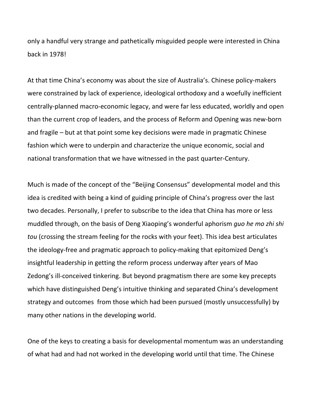only a handful very strange and pathetically misguided people were interested in China back in 1978!

At that time China's economy was about the size of Australia's. Chinese policy‐makers were constrained by lack of experience, ideological orthodoxy and a woefully inefficient centrally‐planned macro‐economic legacy, and were far less educated, worldly and open than the current crop of leaders, and the process of Reform and Opening was new‐born and fragile – but at that point some key decisions were made in pragmatic Chinese fashion which were to underpin and characterize the unique economic, social and national transformation that we have witnessed in the past quarter‐Century.

Much is made of the concept of the "Beijing Consensus" developmental model and this idea is credited with being a kind of guiding principle of China's progress over the last two decades. Personally, I prefer to subscribe to the idea that China has more or less muddled through, on the basis of Deng Xiaoping's wonderful aphorism *guo he mo zhi shi tou* (crossing the stream feeling for the rocks with your feet). This idea best articulates the ideology‐free and pragmatic approach to policy‐making that epitomized Deng's insightful leadership in getting the reform process underway after years of Mao Zedong's ill-conceived tinkering. But beyond pragmatism there are some key precepts which have distinguished Deng's intuitive thinking and separated China's development strategy and outcomes from those which had been pursued (mostly unsuccessfully) by many other nations in the developing world.

One of the keys to creating a basis for developmental momentum was an understanding of what had and had not worked in the developing world until that time. The Chinese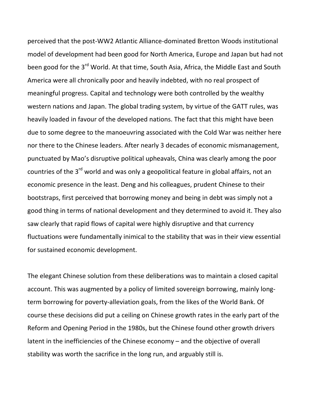perceived that the post‐WW2 Atlantic Alliance‐dominated Bretton Woods institutional model of development had been good for North America, Europe and Japan but had not been good for the 3<sup>rd</sup> World. At that time, South Asia, Africa, the Middle East and South America were all chronically poor and heavily indebted, with no real prospect of meaningful progress. Capital and technology were both controlled by the wealthy western nations and Japan. The global trading system, by virtue of the GATT rules, was heavily loaded in favour of the developed nations. The fact that this might have been due to some degree to the manoeuvring associated with the Cold War was neither here nor there to the Chinese leaders. After nearly 3 decades of economic mismanagement, punctuated by Mao's disruptive political upheavals, China was clearly among the poor countries of the 3<sup>rd</sup> world and was only a geopolitical feature in global affairs, not an economic presence in the least. Deng and his colleagues, prudent Chinese to their bootstraps, first perceived that borrowing money and being in debt was simply not a good thing in terms of national development and they determined to avoid it. They also saw clearly that rapid flows of capital were highly disruptive and that currency fluctuations were fundamentally inimical to the stability that was in their view essential for sustained economic development.

The elegant Chinese solution from these deliberations was to maintain a closed capital account. This was augmented by a policy of limited sovereign borrowing, mainly long‐ term borrowing for poverty-alleviation goals, from the likes of the World Bank. Of course these decisions did put a ceiling on Chinese growth rates in the early part of the Reform and Opening Period in the 1980s, but the Chinese found other growth drivers latent in the inefficiencies of the Chinese economy – and the objective of overall stability was worth the sacrifice in the long run, and arguably still is.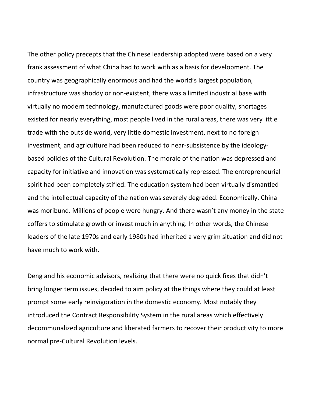The other policy precepts that the Chinese leadership adopted were based on a very frank assessment of what China had to work with as a basis for development. The country was geographically enormous and had the world's largest population, infrastructure was shoddy or non‐existent, there was a limited industrial base with virtually no modern technology, manufactured goods were poor quality, shortages existed for nearly everything, most people lived in the rural areas, there was very little trade with the outside world, very little domestic investment, next to no foreign investment, and agriculture had been reduced to near‐subsistence by the ideology‐ based policies of the Cultural Revolution. The morale of the nation was depressed and capacity for initiative and innovation was systematically repressed. The entrepreneurial spirit had been completely stifled. The education system had been virtually dismantled and the intellectual capacity of the nation was severely degraded. Economically, China was moribund. Millions of people were hungry. And there wasn't any money in the state coffers to stimulate growth or invest much in anything. In other words, the Chinese leaders of the late 1970s and early 1980s had inherited a very grim situation and did not have much to work with.

Deng and his economic advisors, realizing that there were no quick fixes that didn't bring longer term issues, decided to aim policy at the things where they could at least prompt some early reinvigoration in the domestic economy. Most notably they introduced the Contract Responsibility System in the rural areas which effectively decommunalized agriculture and liberated farmers to recover their productivity to more normal pre‐Cultural Revolution levels.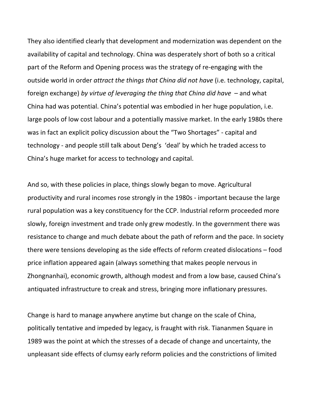They also identified clearly that development and modernization was dependent on the availability of capital and technology. China was desperately short of both so a critical part of the Reform and Opening process was the strategy of re‐engaging with the outside world in order *attract the things that China did not have* (i.e. technology, capital, foreign exchange) *by virtue of leveraging the thing that China did have* – and what China had was potential. China's potential was embodied in her huge population, i.e. large pools of low cost labour and a potentially massive market. In the early 1980s there was in fact an explicit policy discussion about the "Two Shortages" ‐ capital and technology ‐ and people still talk about Deng's 'deal' by which he traded access to China's huge market for access to technology and capital.

And so, with these policies in place, things slowly began to move. Agricultural productivity and rural incomes rose strongly in the 1980s ‐ important because the large rural population was a key constituency for the CCP. Industrial reform proceeded more slowly, foreign investment and trade only grew modestly. In the government there was resistance to change and much debate about the path of reform and the pace. In society there were tensions developing as the side effects of reform created dislocations – food price inflation appeared again (always something that makes people nervous in Zhongnanhai), economic growth, although modest and from a low base, caused China's antiquated infrastructure to creak and stress, bringing more inflationary pressures.

Change is hard to manage anywhere anytime but change on the scale of China, politically tentative and impeded by legacy, is fraught with risk. Tiananmen Square in 1989 was the point at which the stresses of a decade of change and uncertainty, the unpleasant side effects of clumsy early reform policies and the constrictions of limited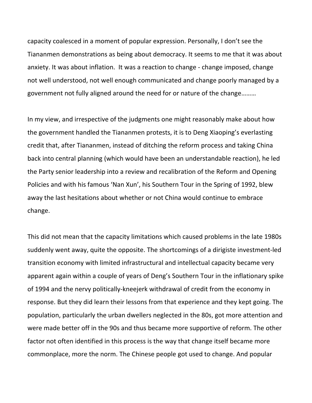capacity coalesced in a moment of popular expression. Personally, I don't see the Tiananmen demonstrations as being about democracy. It seems to me that it was about anxiety. It was about inflation. It was a reaction to change - change imposed, change not well understood, not well enough communicated and change poorly managed by a government not fully aligned around the need for or nature of the change………

In my view, and irrespective of the judgments one might reasonably make about how the government handled the Tiananmen protests, it is to Deng Xiaoping's everlasting credit that, after Tiananmen, instead of ditching the reform process and taking China back into central planning (which would have been an understandable reaction), he led the Party senior leadership into a review and recalibration of the Reform and Opening Policies and with his famous 'Nan Xun', his Southern Tour in the Spring of 1992, blew away the last hesitations about whether or not China would continue to embrace change.

This did not mean that the capacity limitations which caused problems in the late 1980s suddenly went away, quite the opposite. The shortcomings of a dirigiste investment‐led transition economy with limited infrastructural and intellectual capacity became very apparent again within a couple of years of Deng's Southern Tour in the inflationary spike of 1994 and the nervy politically‐kneejerk withdrawal of credit from the economy in response. But they did learn their lessons from that experience and they kept going. The population, particularly the urban dwellers neglected in the 80s, got more attention and were made better off in the 90s and thus became more supportive of reform. The other factor not often identified in this process is the way that change itself became more commonplace, more the norm. The Chinese people got used to change. And popular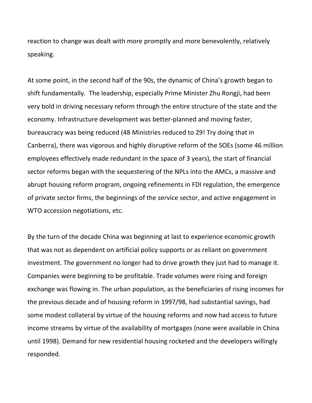reaction to change was dealt with more promptly and more benevolently, relatively speaking.

At some point, in the second half of the 90s, the dynamic of China's growth began to shift fundamentally. The leadership, especially Prime Minister Zhu Rongji, had been very bold in driving necessary reform through the entire structure of the state and the economy. Infrastructure development was better‐planned and moving faster, bureaucracy was being reduced (48 Ministries reduced to 29! Try doing that in Canberra), there was vigorous and highly disruptive reform of the SOEs (some 46 million employees effectively made redundant in the space of 3 years), the start of financial sector reforms began with the sequestering of the NPLs into the AMCs, a massive and abrupt housing reform program, ongoing refinements in FDI regulation, the emergence of private sector firms, the beginnings of the service sector, and active engagement in WTO accession negotiations, etc.

By the turn of the decade China was beginning at last to experience economic growth that was not as dependent on artificial policy supports or as reliant on government investment. The government no longer had to drive growth they just had to manage it. Companies were beginning to be profitable. Trade volumes were rising and foreign exchange was flowing in. The urban population, as the beneficiaries of rising incomes for the previous decade and of housing reform in 1997/98, had substantial savings, had some modest collateral by virtue of the housing reforms and now had access to future income streams by virtue of the availability of mortgages (none were available in China until 1998). Demand for new residential housing rocketed and the developers willingly responded.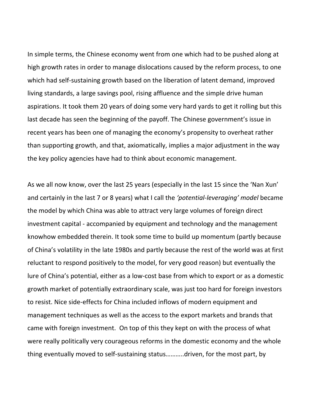In simple terms, the Chinese economy went from one which had to be pushed along at high growth rates in order to manage dislocations caused by the reform process, to one which had self-sustaining growth based on the liberation of latent demand, improved living standards, a large savings pool, rising affluence and the simple drive human aspirations. It took them 20 years of doing some very hard yards to get it rolling but this last decade has seen the beginning of the payoff. The Chinese government's issue in recent years has been one of managing the economy's propensity to overheat rather than supporting growth, and that, axiomatically, implies a major adjustment in the way the key policy agencies have had to think about economic management.

As we all now know, over the last 25 years (especially in the last 15 since the 'Nan Xun' and certainly in the last 7 or 8 years) what I call the *'potential‐leveraging' model* became the model by which China was able to attract very large volumes of foreign direct investment capital ‐ accompanied by equipment and technology and the management knowhow embedded therein. It took some time to build up momentum (partly because of China's volatility in the late 1980s and partly because the rest of the world was at first reluctant to respond positively to the model, for very good reason) but eventually the lure of China's potential, either as a low‐cost base from which to export or as a domestic growth market of potentially extraordinary scale, was just too hard for foreign investors to resist. Nice side‐effects for China included inflows of modern equipment and management techniques as well as the access to the export markets and brands that came with foreign investment. On top of this they kept on with the process of what were really politically very courageous reforms in the domestic economy and the whole thing eventually moved to self‐sustaining status………..driven, for the most part, by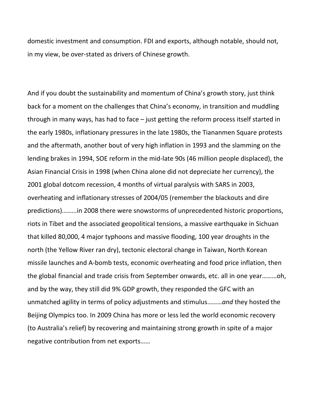domestic investment and consumption. FDI and exports, although notable, should not, in my view, be over‐stated as drivers of Chinese growth.

And if you doubt the sustainability and momentum of China's growth story, just think back for a moment on the challenges that China's economy, in transition and muddling through in many ways, has had to face – just getting the reform process itself started in the early 1980s, inflationary pressures in the late 1980s, the Tiananmen Square protests and the aftermath, another bout of very high inflation in 1993 and the slamming on the lending brakes in 1994, SOE reform in the mid‐late 90s (46 million people displaced), the Asian Financial Crisis in 1998 (when China alone did not depreciate her currency), the 2001 global dotcom recession, 4 months of virtual paralysis with SARS in 2003, overheating and inflationary stresses of 2004/05 (remember the blackouts and dire predictions)………in 2008 there were snowstorms of unprecedented historic proportions, riots in Tibet and the associated geopolitical tensions, a massive earthquake in Sichuan that killed 80,000, 4 major typhoons and massive flooding, 100 year droughts in the north (the Yellow River ran dry), tectonic electoral change in Taiwan, North Korean missile launches and A‐bomb tests, economic overheating and food price inflation, then the global financial and trade crisis from September onwards, etc. all in one year………oh, and by the way, they still did 9% GDP growth, they responded the GFC with an unmatched agility in terms of policy adjustments and stimulus………*and* they hosted the Beijing Olympics too. In 2009 China has more or less led the world economic recovery (to Australia's relief) by recovering and maintaining strong growth in spite of a major negative contribution from net exports……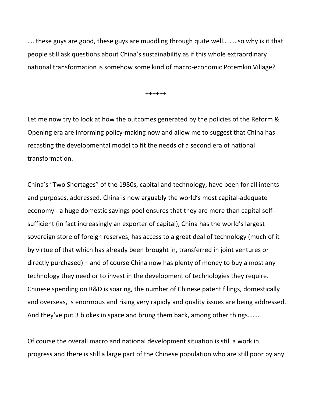…. these guys are good, these guys are muddling through quite well………so why is it that people still ask questions about China's sustainability as if this whole extraordinary national transformation is somehow some kind of macro‐economic Potemkin Village?

++++++

Let me now try to look at how the outcomes generated by the policies of the Reform & Opening era are informing policy‐making now and allow me to suggest that China has recasting the developmental model to fit the needs of a second era of national transformation.

China's "Two Shortages" of the 1980s, capital and technology, have been for all intents and purposes, addressed. China is now arguably the world's most capital‐adequate economy ‐ a huge domestic savings pool ensures that they are more than capital self‐ sufficient (in fact increasingly an exporter of capital), China has the world's largest sovereign store of foreign reserves, has access to a great deal of technology (much of it by virtue of that which has already been brought in, transferred in joint ventures or directly purchased) – and of course China now has plenty of money to buy almost any technology they need or to invest in the development of technologies they require. Chinese spending on R&D is soaring, the number of Chinese patent filings, domestically and overseas, is enormous and rising very rapidly and quality issues are being addressed. And they've put 3 blokes in space and brung them back, among other things…….

Of course the overall macro and national development situation is still a work in progress and there is still a large part of the Chinese population who are still poor by any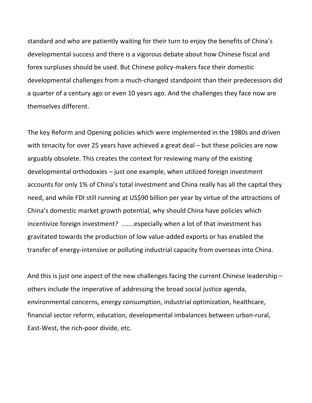standard and who are patiently waiting for their turn to enjoy the benefits of China's developmental success and there is a vigorous debate about how Chinese fiscal and forex surpluses should be used. But Chinese policy-makers face their domestic developmental challenges from a much‐changed standpoint than their predecessors did a quarter of a century ago or even 10 years ago. And the challenges they face now are themselves different.

The key Reform and Opening policies which were implemented in the 1980s and driven with tenacity for over 25 years have achieved a great deal – but these policies are now arguably obsolete. This creates the context for reviewing many of the existing developmental orthodoxies – just one example, when utilized foreign investment accounts for only 1% of China's total investment and China really has all the capital they need, and while FDI still running at US\$90 billion per year by virtue of the attractions of China's domestic market growth potential, why should China have policies which incentivize foreign investment? .......especially when a lot of that investment has gravitated towards the production of low value‐added exports or has enabled the transfer of energy‐intensive or polluting industrial capacity from overseas into China.

And this is just one aspect of the new challenges facing the current Chinese leadership – others include the imperative of addressing the broad social justice agenda, environmental concerns, energy consumption, industrial optimization, healthcare, financial sector reform, education, developmental imbalances between urban‐rural, East‐West, the rich‐poor divide, etc.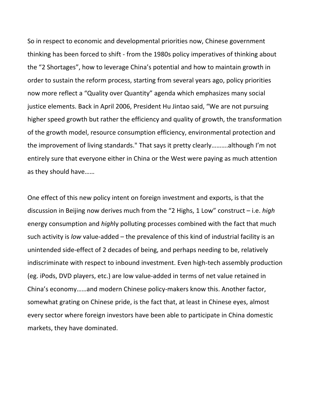So in respect to economic and developmental priorities now, Chinese government thinking has been forced to shift ‐ from the 1980s policy imperatives of thinking about the "2 Shortages", how to leverage China's potential and how to maintain growth in order to sustain the reform process, starting from several years ago, policy priorities now more reflect a "Quality over Quantity" agenda which emphasizes many social justice elements. Back in April 2006, President Hu Jintao said, "We are not pursuing higher speed growth but rather the efficiency and quality of growth, the transformation of the growth model, resource consumption efficiency, environmental protection and the improvement of living standards." That says it pretty clearly……….although I'm not entirely sure that everyone either in China or the West were paying as much attention as they should have……

One effect of this new policy intent on foreign investment and exports, is that the discussion in Beijing now derives much from the "2 Highs, 1 Low" construct – i.e. *high* energy consumption and *high*ly polluting processes combined with the fact that much such activity is *low* value-added – the prevalence of this kind of industrial facility is an unintended side‐effect of 2 decades of being, and perhaps needing to be, relatively indiscriminate with respect to inbound investment. Even high‐tech assembly production (eg. iPods, DVD players, etc.) are low value‐added in terms of net value retained in China's economy……and modern Chinese policy‐makers know this. Another factor, somewhat grating on Chinese pride, is the fact that, at least in Chinese eyes, almost every sector where foreign investors have been able to participate in China domestic markets, they have dominated.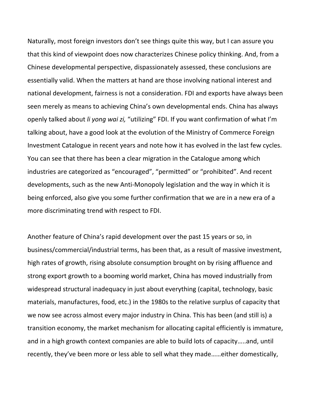Naturally, most foreign investors don't see things quite this way, but I can assure you that this kind of viewpoint does now characterizes Chinese policy thinking. And, from a Chinese developmental perspective, dispassionately assessed, these conclusions are essentially valid. When the matters at hand are those involving national interest and national development, fairness is not a consideration. FDI and exports have always been seen merely as means to achieving China's own developmental ends. China has always openly talked about *li yong wai zi,* "utilizing" FDI. If you want confirmation of what I'm talking about, have a good look at the evolution of the Ministry of Commerce Foreign Investment Catalogue in recent years and note how it has evolved in the last few cycles. You can see that there has been a clear migration in the Catalogue among which industries are categorized as "encouraged", "permitted" or "prohibited". And recent developments, such as the new Anti‐Monopoly legislation and the way in which it is being enforced, also give you some further confirmation that we are in a new era of a more discriminating trend with respect to FDI.

Another feature of China's rapid development over the past 15 years or so, in business/commercial/industrial terms, has been that, as a result of massive investment, high rates of growth, rising absolute consumption brought on by rising affluence and strong export growth to a booming world market, China has moved industrially from widespread structural inadequacy in just about everything (capital, technology, basic materials, manufactures, food, etc.) in the 1980s to the relative surplus of capacity that we now see across almost every major industry in China. This has been (and still is) a transition economy, the market mechanism for allocating capital efficiently is immature, and in a high growth context companies are able to build lots of capacity…..and, until recently, they've been more or less able to sell what they made……either domestically,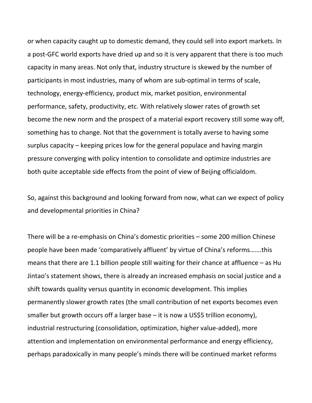or when capacity caught up to domestic demand, they could sell into export markets. In a post‐GFC world exports have dried up and so it is very apparent that there is too much capacity in many areas. Not only that, industry structure is skewed by the number of participants in most industries, many of whom are sub‐optimal in terms of scale, technology, energy‐efficiency, product mix, market position, environmental performance, safety, productivity, etc. With relatively slower rates of growth set become the new norm and the prospect of a material export recovery still some way off, something has to change. Not that the government is totally averse to having some surplus capacity – keeping prices low for the general populace and having margin pressure converging with policy intention to consolidate and optimize industries are both quite acceptable side effects from the point of view of Beijing officialdom.

So, against this background and looking forward from now, what can we expect of policy and developmental priorities in China?

There will be a re‐emphasis on China's domestic priorities – some 200 million Chinese people have been made 'comparatively affluent' by virtue of China's reforms…….this means that there are 1.1 billion people still waiting for their chance at affluence – as Hu Jintao's statement shows, there is already an increased emphasis on social justice and a shift towards quality versus quantity in economic development. This implies permanently slower growth rates (the small contribution of net exports becomes even smaller but growth occurs off a larger base – it is now a US\$5 trillion economy), industrial restructuring (consolidation, optimization, higher value‐added), more attention and implementation on environmental performance and energy efficiency, perhaps paradoxically in many people's minds there will be continued market reforms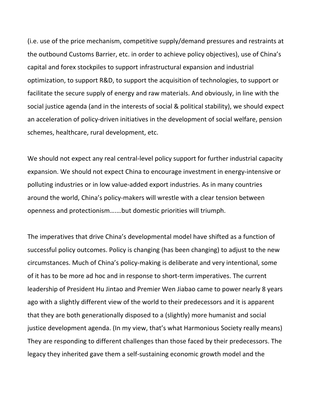(i.e. use of the price mechanism, competitive supply/demand pressures and restraints at the outbound Customs Barrier, etc. in order to achieve policy objectives), use of China's capital and forex stockpiles to support infrastructural expansion and industrial optimization, to support R&D, to support the acquisition of technologies, to support or facilitate the secure supply of energy and raw materials. And obviously, in line with the social justice agenda (and in the interests of social & political stability), we should expect an acceleration of policy‐driven initiatives in the development of social welfare, pension schemes, healthcare, rural development, etc.

We should not expect any real central-level policy support for further industrial capacity expansion. We should not expect China to encourage investment in energy‐intensive or polluting industries or in low value‐added export industries. As in many countries around the world, China's policy‐makers will wrestle with a clear tension between openness and protectionism….…but domestic priorities will triumph.

The imperatives that drive China's developmental model have shifted as a function of successful policy outcomes. Policy is changing (has been changing) to adjust to the new circumstances. Much of China's policy‐making is deliberate and very intentional, some of it has to be more ad hoc and in response to short‐term imperatives. The current leadership of President Hu Jintao and Premier Wen Jiabao came to power nearly 8 years ago with a slightly different view of the world to their predecessors and it is apparent that they are both generationally disposed to a (slightly) more humanist and social justice development agenda. (In my view, that's what Harmonious Society really means) They are responding to different challenges than those faced by their predecessors. The legacy they inherited gave them a self‐sustaining economic growth model and the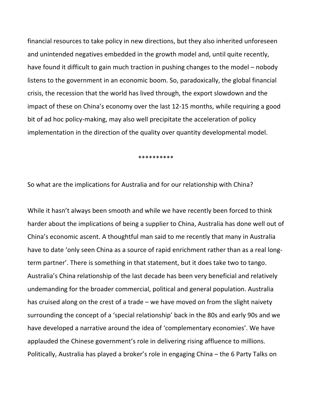financial resources to take policy in new directions, but they also inherited unforeseen and unintended negatives embedded in the growth model and, until quite recently, have found it difficult to gain much traction in pushing changes to the model – nobody listens to the government in an economic boom. So, paradoxically, the global financial crisis, the recession that the world has lived through, the export slowdown and the impact of these on China's economy over the last 12‐15 months, while requiring a good bit of ad hoc policy‐making, may also well precipitate the acceleration of policy implementation in the direction of the quality over quantity developmental model.

\*\*\*\*\*\*\*\*\*\*

So what are the implications for Australia and for our relationship with China?

While it hasn't always been smooth and while we have recently been forced to think harder about the implications of being a supplier to China, Australia has done well out of China's economic ascent. A thoughtful man said to me recently that many in Australia have to date 'only seen China as a source of rapid enrichment rather than as a real longterm partner'. There is something in that statement, but it does take two to tango. Australia's China relationship of the last decade has been very beneficial and relatively undemanding for the broader commercial, political and general population. Australia has cruised along on the crest of a trade – we have moved on from the slight naivety surrounding the concept of a 'special relationship' back in the 80s and early 90s and we have developed a narrative around the idea of 'complementary economies'. We have applauded the Chinese government's role in delivering rising affluence to millions. Politically, Australia has played a broker's role in engaging China – the 6 Party Talks on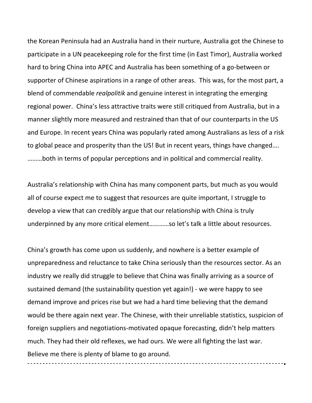the Korean Peninsula had an Australia hand in their nurture, Australia got the Chinese to participate in a UN peacekeeping role for the first time (in East Timor), Australia worked hard to bring China into APEC and Australia has been something of a go-between or supporter of Chinese aspirations in a range of other areas. This was, for the most part, a blend of commendable *realpolitik* and genuine interest in integrating the emerging regional power. China's less attractive traits were still critiqued from Australia, but in a manner slightly more measured and restrained than that of our counterparts in the US and Europe. In recent years China was popularly rated among Australians as less of a risk to global peace and prosperity than the US! But in recent years, things have changed…. ………both in terms of popular perceptions and in political and commercial reality.

Australia's relationship with China has many component parts, but much as you would all of course expect me to suggest that resources are quite important, I struggle to develop a view that can credibly argue that our relationship with China is truly underpinned by any more critical element…………so let's talk a little about resources.

China's growth has come upon us suddenly, and nowhere is a better example of unpreparedness and reluctance to take China seriously than the resources sector. As an industry we really did struggle to believe that China was finally arriving as a source of sustained demand (the sustainability question yet again!) ‐ we were happy to see demand improve and prices rise but we had a hard time believing that the demand would be there again next year. The Chinese, with their unreliable statistics, suspicion of foreign suppliers and negotiations‐motivated opaque forecasting, didn't help matters much. They had their old reflexes, we had ours. We were all fighting the last war. Believe me there is plenty of blame to go around.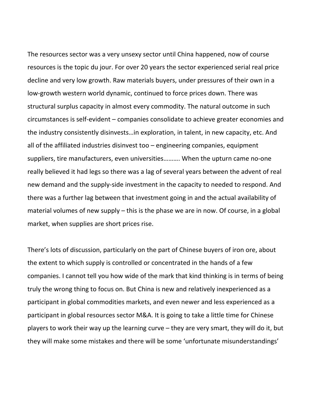The resources sector was a very unsexy sector until China happened, now of course resources is the topic du jour. For over 20 years the sector experienced serial real price decline and very low growth. Raw materials buyers, under pressures of their own in a low‐growth western world dynamic, continued to force prices down. There was structural surplus capacity in almost every commodity. The natural outcome in such circumstances is self‐evident – companies consolidate to achieve greater economies and the industry consistently disinvests…in exploration, in talent, in new capacity, etc. And all of the affiliated industries disinvest too – engineering companies, equipment suppliers, tire manufacturers, even universities………. When the upturn came no‐one really believed it had legs so there was a lag of several years between the advent of real new demand and the supply‐side investment in the capacity to needed to respond. And there was a further lag between that investment going in and the actual availability of material volumes of new supply – this is the phase we are in now. Of course, in a global market, when supplies are short prices rise.

There's lots of discussion, particularly on the part of Chinese buyers of iron ore, about the extent to which supply is controlled or concentrated in the hands of a few companies. I cannot tell you how wide of the mark that kind thinking is in terms of being truly the wrong thing to focus on. But China is new and relatively inexperienced as a participant in global commodities markets, and even newer and less experienced as a participant in global resources sector M&A. It is going to take a little time for Chinese players to work their way up the learning curve – they are very smart, they will do it, but they will make some mistakes and there will be some 'unfortunate misunderstandings'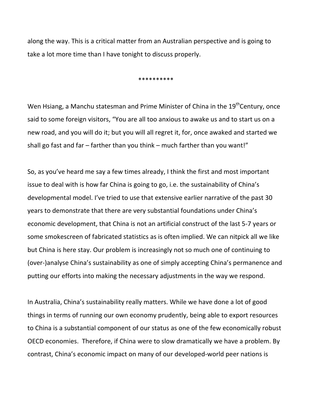along the way. This is a critical matter from an Australian perspective and is going to take a lot more time than I have tonight to discuss properly.

\*\*\*\*\*\*\*\*\*\*

Wen Hsiang, a Manchu statesman and Prime Minister of China in the  $19<sup>th</sup>$ Century, once said to some foreign visitors, "You are all too anxious to awake us and to start us on a new road, and you will do it; but you will all regret it, for, once awaked and started we shall go fast and far – farther than you think – much farther than you want!"

So, as you've heard me say a few times already, I think the first and most important issue to deal with is how far China is going to go, i.e. the sustainability of China's developmental model. I've tried to use that extensive earlier narrative of the past 30 years to demonstrate that there are very substantial foundations under China's economic development, that China is not an artificial construct of the last 5‐7 years or some smokescreen of fabricated statistics as is often implied. We can nitpick all we like but China is here stay. Our problem is increasingly not so much one of continuing to (over‐)analyse China's sustainability as one of simply accepting China's permanence and putting our efforts into making the necessary adjustments in the way we respond.

In Australia, China's sustainability really matters. While we have done a lot of good things in terms of running our own economy prudently, being able to export resources to China is a substantial component of our status as one of the few economically robust OECD economies. Therefore, if China were to slow dramatically we have a problem. By contrast, China's economic impact on many of our developed‐world peer nations is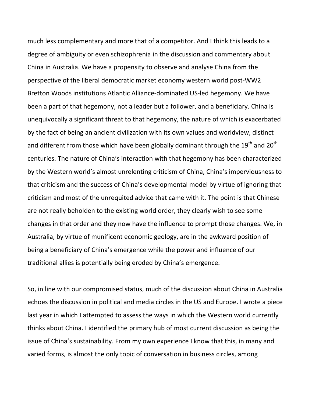much less complementary and more that of a competitor. And I think this leads to a degree of ambiguity or even schizophrenia in the discussion and commentary about China in Australia. We have a propensity to observe and analyse China from the perspective of the liberal democratic market economy western world post‐WW2 Bretton Woods institutions Atlantic Alliance‐dominated US‐led hegemony. We have been a part of that hegemony, not a leader but a follower, and a beneficiary. China is unequivocally a significant threat to that hegemony, the nature of which is exacerbated by the fact of being an ancient civilization with its own values and worldview, distinct and different from those which have been globally dominant through the  $19^{th}$  and  $20^{th}$ centuries. The nature of China's interaction with that hegemony has been characterized by the Western world's almost unrelenting criticism of China, China's imperviousness to that criticism and the success of China's developmental model by virtue of ignoring that criticism and most of the unrequited advice that came with it. The point is that Chinese are not really beholden to the existing world order, they clearly wish to see some changes in that order and they now have the influence to prompt those changes. We, in Australia, by virtue of munificent economic geology, are in the awkward position of being a beneficiary of China's emergence while the power and influence of our traditional allies is potentially being eroded by China's emergence.

So, in line with our compromised status, much of the discussion about China in Australia echoes the discussion in political and media circles in the US and Europe. I wrote a piece last year in which I attempted to assess the ways in which the Western world currently thinks about China. I identified the primary hub of most current discussion as being the issue of China's sustainability. From my own experience I know that this, in many and varied forms, is almost the only topic of conversation in business circles, among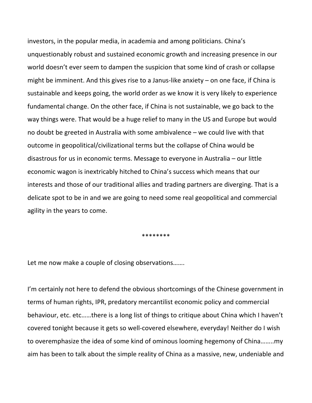investors, in the popular media, in academia and among politicians. China's unquestionably robust and sustained economic growth and increasing presence in our world doesn't ever seem to dampen the suspicion that some kind of crash or collapse might be imminent. And this gives rise to a Janus‐like anxiety – on one face, if China is sustainable and keeps going, the world order as we know it is very likely to experience fundamental change. On the other face, if China is not sustainable, we go back to the way things were. That would be a huge relief to many in the US and Europe but would no doubt be greeted in Australia with some ambivalence – we could live with that outcome in geopolitical/civilizational terms but the collapse of China would be disastrous for us in economic terms. Message to everyone in Australia – our little economic wagon is inextricably hitched to China's success which means that our interests and those of our traditional allies and trading partners are diverging. That is a delicate spot to be in and we are going to need some real geopolitical and commercial agility in the years to come.

\*\*\*\*\*\*\*\*

Let me now make a couple of closing observations…….

I'm certainly not here to defend the obvious shortcomings of the Chinese government in terms of human rights, IPR, predatory mercantilist economic policy and commercial behaviour, etc. etc……there is a long list of things to critique about China which I haven't covered tonight because it gets so well‐covered elsewhere, everyday! Neither do I wish to overemphasize the idea of some kind of ominous looming hegemony of China……..my aim has been to talk about the simple reality of China as a massive, new, undeniable and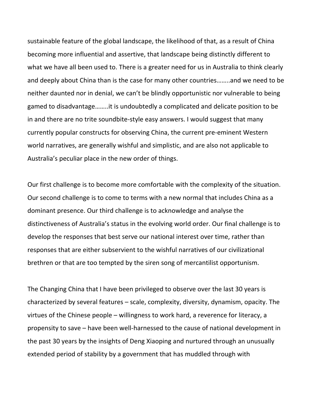sustainable feature of the global landscape, the likelihood of that, as a result of China becoming more influential and assertive, that landscape being distinctly different to what we have all been used to. There is a greater need for us in Australia to think clearly and deeply about China than is the case for many other countries……..and we need to be neither daunted nor in denial, we can't be blindly opportunistic nor vulnerable to being gamed to disadvantage……..it is undoubtedly a complicated and delicate position to be in and there are no trite soundbite‐style easy answers. I would suggest that many currently popular constructs for observing China, the current pre‐eminent Western world narratives, are generally wishful and simplistic, and are also not applicable to Australia's peculiar place in the new order of things.

Our first challenge is to become more comfortable with the complexity of the situation. Our second challenge is to come to terms with a new normal that includes China as a dominant presence. Our third challenge is to acknowledge and analyse the distinctiveness of Australia's status in the evolving world order. Our final challenge is to develop the responses that best serve our national interest over time, rather than responses that are either subservient to the wishful narratives of our civilizational brethren or that are too tempted by the siren song of mercantilist opportunism.

The Changing China that I have been privileged to observe over the last 30 years is characterized by several features – scale, complexity, diversity, dynamism, opacity. The virtues of the Chinese people – willingness to work hard, a reverence for literacy, a propensity to save – have been well‐harnessed to the cause of national development in the past 30 years by the insights of Deng Xiaoping and nurtured through an unusually extended period of stability by a government that has muddled through with